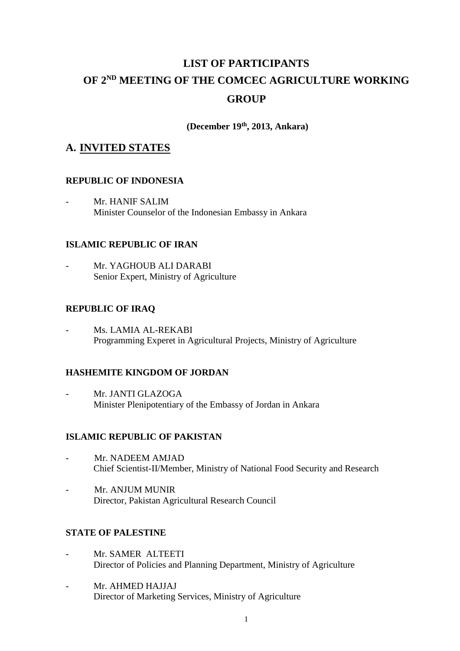# **LIST OF PARTICIPANTS OF 2 ND MEETING OF THE COMCEC AGRICULTURE WORKING GROUP**

**(December 19th, 2013, Ankara)**

# **A. INVITED STATES**

### **REPUBLIC OF INDONESIA**

Mr. HANIF SALIM Minister Counselor of the Indonesian Embassy in Ankara

## **ISLAMIC REPUBLIC OF IRAN**

Mr. YAGHOUB ALI DARABI Senior Expert, Ministry of Agriculture

### **REPUBLIC OF IRAQ**

Ms. LAMIA AL-REKABI Programming Experet in Agricultural Projects, Ministry of Agriculture

### **HASHEMITE KINGDOM OF JORDAN**

Mr. JANTI GLAZOGA Minister Plenipotentiary of the Embassy of Jordan in Ankara

### **ISLAMIC REPUBLIC OF PAKISTAN**

- Mr. NADEEM AMJAD Chief Scientist-II/Member, Ministry of National Food Security and Research
- Mr. ANJUM MUNIR Director, Pakistan Agricultural Research Council

# **STATE OF PALESTINE**

- Mr. SAMER ALTEETI Director of Policies and Planning Department, Ministry of Agriculture
- Mr. AHMED HAJJAJ Director of Marketing Services, Ministry of Agriculture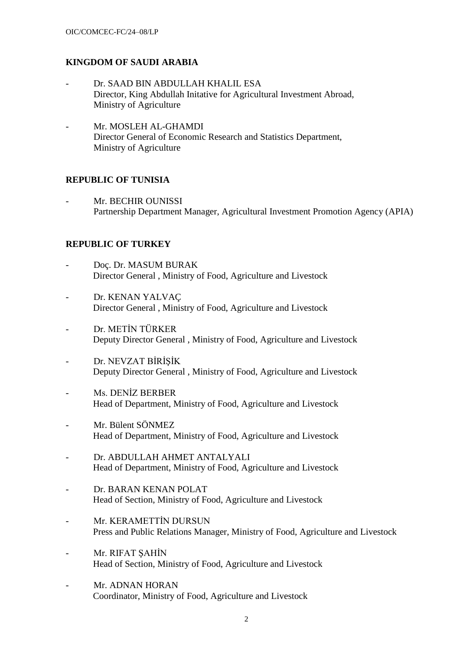#### **KINGDOM OF SAUDI ARABIA**

- Dr. SAAD BIN ABDULLAH KHALIL ESA Director, King Abdullah Initative for Agricultural Investment Abroad, Ministry of Agriculture
- Mr. MOSLEH AL-GHAMDI Director General of Economic Research and Statistics Department, Ministry of Agriculture

#### **REPUBLIC OF TUNISIA**

Mr. BECHIR OUNISSI Partnership Department Manager, Agricultural Investment Promotion Agency (APIA)

#### **REPUBLIC OF TURKEY**

- Doç. Dr. MASUM BURAK Director General , Ministry of Food, Agriculture and Livestock
- Dr. KENAN YALVAÇ Director General , Ministry of Food, Agriculture and Livestock
- Dr. METİN TÜRKER Deputy Director General , Ministry of Food, Agriculture and Livestock
- Dr. NEVZAT BİRİŞİK Deputy Director General , Ministry of Food, Agriculture and Livestock
- Ms. DENİZ BERBER Head of Department, Ministry of Food, Agriculture and Livestock
- Mr. Bülent SÖNMEZ Head of Department, Ministry of Food, Agriculture and Livestock
- Dr. ABDULLAH AHMET ANTALYALI Head of Department, Ministry of Food, Agriculture and Livestock
- Dr. BARAN KENAN POLAT Head of Section, Ministry of Food, Agriculture and Livestock
- Mr. KERAMETTİN DURSUN Press and Public Relations Manager, Ministry of Food, Agriculture and Livestock
- Mr. RIFAT ŞAHİN Head of Section, Ministry of Food, Agriculture and Livestock
- Mr. ADNAN HORAN Coordinator, Ministry of Food, Agriculture and Livestock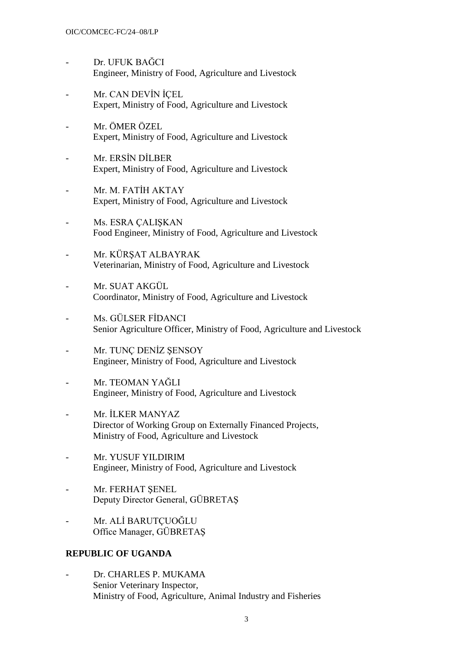- Dr. UFUK BAĞCI Engineer, Ministry of Food, Agriculture and Livestock
- Mr. CAN DEVİN İCEL Expert, Ministry of Food, Agriculture and Livestock
- Mr. ÖMER ÖZEL. Expert, Ministry of Food, Agriculture and Livestock
- Mr. ERSİN DİLBER Expert, Ministry of Food, Agriculture and Livestock
- Mr. M. FATİH AKTAY Expert, Ministry of Food, Agriculture and Livestock
- Ms. ESRA ÇALIŞKAN Food Engineer, Ministry of Food, Agriculture and Livestock
- Mr. KÜRSAT ALBAYRAK Veterinarian, Ministry of Food, Agriculture and Livestock
- Mr. SUAT AKGÜL Coordinator, Ministry of Food, Agriculture and Livestock
- Ms. GÜLSER FİDANCI Senior Agriculture Officer, Ministry of Food, Agriculture and Livestock
- Mr. TUNÇ DENİZ ŞENSOY Engineer, Ministry of Food, Agriculture and Livestock
- Mr. TEOMAN YAĞLI Engineer, Ministry of Food, Agriculture and Livestock
- Mr. İLKER MANYAZ Director of Working Group on Externally Financed Projects, Ministry of Food, Agriculture and Livestock
- Mr. YUSUF YILDIRIM Engineer, Ministry of Food, Agriculture and Livestock
- Mr. FERHAT SENEL Deputy Director General, GÜBRETAŞ
- Mr. ALİ BARUTCUOĞLU Office Manager, GÜBRETAŞ

#### **REPUBLIC OF UGANDA**

- Dr. CHARLES P. MUKAMA Senior Veterinary Inspector, Ministry of Food, Agriculture, Animal Industry and Fisheries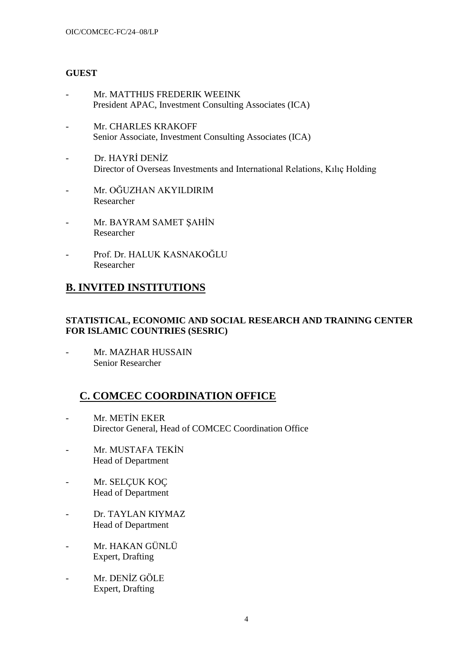## **GUEST**

- Mr. MATTHIJS FREDERIK WEEINK President APAC, Investment Consulting Associates (ICA)
- Mr. CHARLES KRAKOFF Senior Associate, Investment Consulting Associates (ICA)
- Dr. HAYRİ DENİZ Director of Overseas Investments and International Relations, Kılıç Holding
- Mr. OĞUZHAN AKYILDIRIM Researcher
- Mr. BAYRAM SAMET ŞAHİN Researcher
- Prof. Dr. HALUK KASNAKOĞLU Researcher

# **B. INVITED INSTITUTIONS**

## **STATISTICAL, ECONOMIC AND SOCIAL RESEARCH AND TRAINING CENTER FOR ISLAMIC COUNTRIES (SESRIC)**

- Mr. MAZHAR HUSSAIN Senior Researcher

# **C. COMCEC COORDINATION OFFICE**

- Mr. METİN EKER Director General, Head of COMCEC Coordination Office
- Mr. MUSTAFA TEKİN Head of Department
- Mr. SELÇUK KOÇ Head of Department
- Dr. TAYLAN KIYMAZ Head of Department
- Mr. HAKAN GÜNLÜ Expert, Drafting
- Mr. DENİZ GÖLE Expert, Drafting